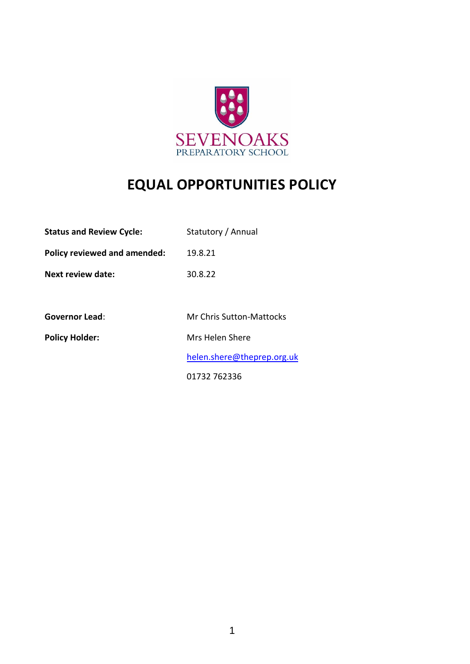

# **EQUAL OPPORTUNITIES POLICY**

| <b>Status and Review Cycle:</b> | Statutory / Annual              |
|---------------------------------|---------------------------------|
| Policy reviewed and amended:    | 19.8.21                         |
| Next review date:               | 30.8.22                         |
|                                 |                                 |
| <b>Governor Lead:</b>           | <b>Mr Chris Sutton-Mattocks</b> |
| <b>Policy Holder:</b>           | Mrs Helen Shere                 |
|                                 | helen.shere@theprep.org.uk      |
|                                 | 01732 762336                    |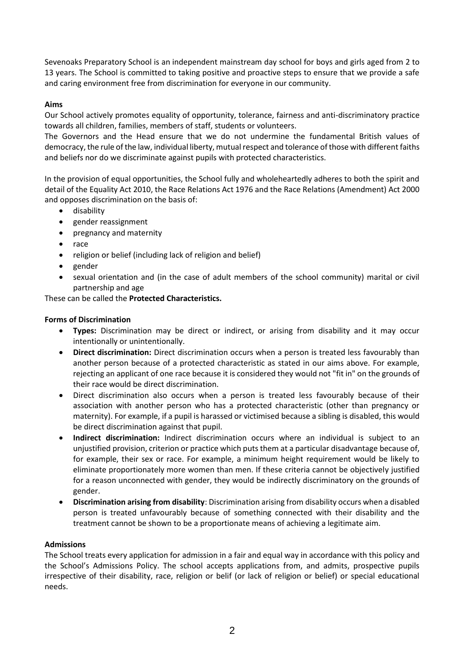Sevenoaks Preparatory School is an independent mainstream day school for boys and girls aged from 2 to 13 years. The School is committed to taking positive and proactive steps to ensure that we provide a safe and caring environment free from discrimination for everyone in our community.

# **Aims**

Our School actively promotes equality of opportunity, tolerance, fairness and anti-discriminatory practice towards all children, families, members of staff, students or volunteers.

The Governors and the Head ensure that we do not undermine the fundamental British values of democracy, the rule of the law, individual liberty, mutual respect and tolerance of those with different faiths and beliefs nor do we discriminate against pupils with protected characteristics.

In the provision of equal opportunities, the School fully and wholeheartedly adheres to both the spirit and detail of the Equality Act 2010, the Race Relations Act 1976 and the Race Relations (Amendment) Act 2000 and opposes discrimination on the basis of:

- disability
- gender reassignment
- pregnancy and maternity
- race
- religion or belief (including lack of religion and belief)
- gender
- sexual orientation and (in the case of adult members of the school community) marital or civil partnership and age

These can be called the **Protected Characteristics.**

# **Forms of Discrimination**

- **Types:** Discrimination may be direct or indirect, or arising from disability and it may occur intentionally or unintentionally.
- **Direct discrimination:** Direct discrimination occurs when a person is treated less favourably than another person because of a protected characteristic as stated in our aims above. For example, rejecting an applicant of one race because it is considered they would not "fit in" on the grounds of their race would be direct discrimination.
- Direct discrimination also occurs when a person is treated less favourably because of their association with another person who has a protected characteristic (other than pregnancy or maternity). For example, if a pupil is harassed or victimised because a sibling is disabled, this would be direct discrimination against that pupil.
- **Indirect discrimination:** Indirect discrimination occurs where an individual is subject to an unjustified provision, criterion or practice which puts them at a particular disadvantage because of, for example, their sex or race. For example, a minimum height requirement would be likely to eliminate proportionately more women than men. If these criteria cannot be objectively justified for a reason unconnected with gender, they would be indirectly discriminatory on the grounds of gender.
- **Discrimination arising from disability**: Discrimination arising from disability occurs when a disabled person is treated unfavourably because of something connected with their disability and the treatment cannot be shown to be a proportionate means of achieving a legitimate aim.

# **Admissions**

The School treats every application for admission in a fair and equal way in accordance with this policy and the School's Admissions Policy. The school accepts applications from, and admits, prospective pupils irrespective of their disability, race, religion or belif (or lack of religion or belief) or special educational needs.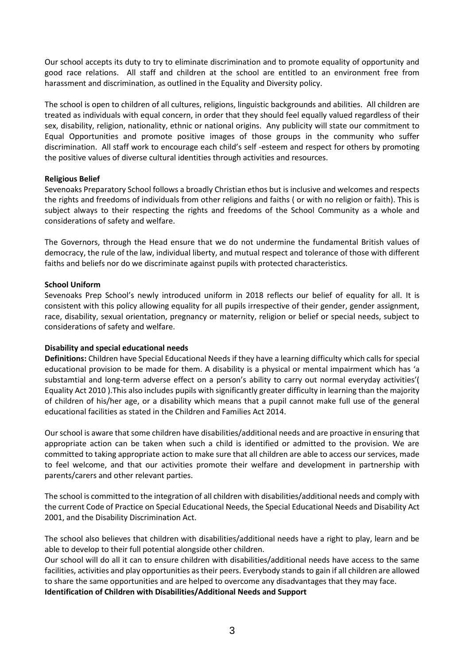Our school accepts its duty to try to eliminate discrimination and to promote equality of opportunity and good race relations. All staff and children at the school are entitled to an environment free from harassment and discrimination, as outlined in the Equality and Diversity policy.

The school is open to children of all cultures, religions, linguistic backgrounds and abilities. All children are treated as individuals with equal concern, in order that they should feel equally valued regardless of their sex, disability, religion, nationality, ethnic or national origins. Any publicity will state our commitment to Equal Opportunities and promote positive images of those groups in the community who suffer discrimination. All staff work to encourage each child's self -esteem and respect for others by promoting the positive values of diverse cultural identities through activities and resources.

## **Religious Belief**

Sevenoaks Preparatory School follows a broadly Christian ethos but is inclusive and welcomes and respects the rights and freedoms of individuals from other religions and faiths ( or with no religion or faith). This is subject always to their respecting the rights and freedoms of the School Community as a whole and considerations of safety and welfare.

The Governors, through the Head ensure that we do not undermine the fundamental British values of democracy, the rule of the law, individual liberty, and mutual respect and tolerance of those with different faiths and beliefs nor do we discriminate against pupils with protected characteristics.

## **School Uniform**

Sevenoaks Prep School's newly introduced uniform in 2018 reflects our belief of equality for all. It is consistent with this policy allowing equality for all pupils irrespective of their gender, gender assignment, race, disability, sexual orientation, pregnancy or maternity, religion or belief or special needs, subject to considerations of safety and welfare.

#### **Disability and special educational needs**

**Definitions:** Children have Special Educational Needs if they have a learning difficulty which calls for special educational provision to be made for them. A disability is a physical or mental impairment which has 'a substamtial and long-term adverse effect on a person's ability to carry out normal everyday activities'( Equality Act 2010 ).This also includes pupils with significantly greater difficulty in learning than the majority of children of his/her age, or a disability which means that a pupil cannot make full use of the general educational facilities as stated in the Children and Families Act 2014.

Our school is aware that some children have disabilities/additional needs and are proactive in ensuring that appropriate action can be taken when such a child is identified or admitted to the provision. We are committed to taking appropriate action to make sure that all children are able to access our services, made to feel welcome, and that our activities promote their welfare and development in partnership with parents/carers and other relevant parties.

The school is committed to the integration of all children with disabilities/additional needs and comply with the current Code of Practice on Special Educational Needs, the Special Educational Needs and Disability Act 2001, and the Disability Discrimination Act.

The school also believes that children with disabilities/additional needs have a right to play, learn and be able to develop to their full potential alongside other children.

Our school will do all it can to ensure children with disabilities/additional needs have access to the same facilities, activities and play opportunities as their peers. Everybody stands to gain if all children are allowed to share the same opportunities and are helped to overcome any disadvantages that they may face. **Identification of Children with Disabilities/Additional Needs and Support**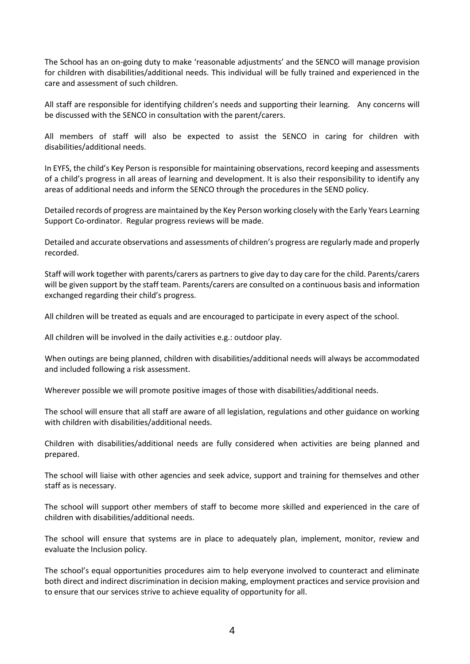The School has an on-going duty to make 'reasonable adjustments' and the SENCO will manage provision for children with disabilities/additional needs. This individual will be fully trained and experienced in the care and assessment of such children.

All staff are responsible for identifying children's needs and supporting their learning. Any concerns will be discussed with the SENCO in consultation with the parent/carers.

All members of staff will also be expected to assist the SENCO in caring for children with disabilities/additional needs.

In EYFS, the child's Key Person is responsible for maintaining observations, record keeping and assessments of a child's progress in all areas of learning and development. It is also their responsibility to identify any areas of additional needs and inform the SENCO through the procedures in the SEND policy.

Detailed records of progress are maintained by the Key Person working closely with the Early Years Learning Support Co-ordinator. Regular progress reviews will be made.

Detailed and accurate observations and assessments of children's progress are regularly made and properly recorded.

Staff will work together with parents/carers as partners to give day to day care for the child. Parents/carers will be given support by the staff team. Parents/carers are consulted on a continuous basis and information exchanged regarding their child's progress.

All children will be treated as equals and are encouraged to participate in every aspect of the school.

All children will be involved in the daily activities e.g.: outdoor play.

When outings are being planned, children with disabilities/additional needs will always be accommodated and included following a risk assessment.

Wherever possible we will promote positive images of those with disabilities/additional needs.

The school will ensure that all staff are aware of all legislation, regulations and other guidance on working with children with disabilities/additional needs.

Children with disabilities/additional needs are fully considered when activities are being planned and prepared.

The school will liaise with other agencies and seek advice, support and training for themselves and other staff as is necessary.

The school will support other members of staff to become more skilled and experienced in the care of children with disabilities/additional needs.

The school will ensure that systems are in place to adequately plan, implement, monitor, review and evaluate the Inclusion policy.

The school's equal opportunities procedures aim to help everyone involved to counteract and eliminate both direct and indirect discrimination in decision making, employment practices and service provision and to ensure that our services strive to achieve equality of opportunity for all.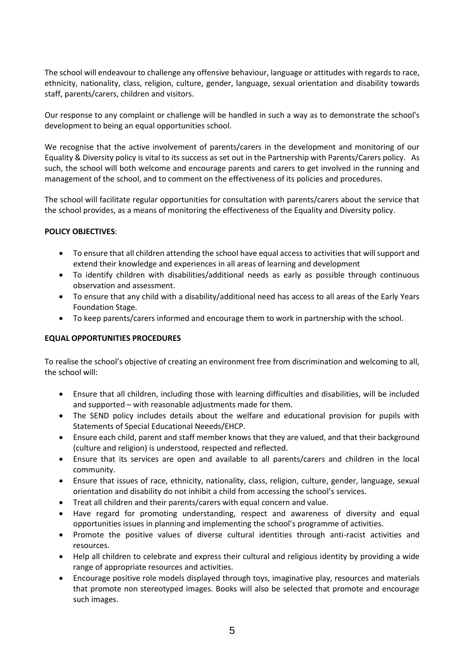The school will endeavour to challenge any offensive behaviour, language or attitudes with regards to race, ethnicity, nationality, class, religion, culture, gender, language, sexual orientation and disability towards staff, parents/carers, children and visitors.

Our response to any complaint or challenge will be handled in such a way as to demonstrate the school's development to being an equal opportunities school.

We recognise that the active involvement of parents/carers in the development and monitoring of our Equality & Diversity policy is vital to its success as set out in the Partnership with Parents/Carers policy. As such, the school will both welcome and encourage parents and carers to get involved in the running and management of the school, and to comment on the effectiveness of its policies and procedures.

The school will facilitate regular opportunities for consultation with parents/carers about the service that the school provides, as a means of monitoring the effectiveness of the Equality and Diversity policy.

## **POLICY OBJECTIVES**:

- To ensure that all children attending the school have equal access to activities that will support and extend their knowledge and experiences in all areas of learning and development
- To identify children with disabilities/additional needs as early as possible through continuous observation and assessment.
- To ensure that any child with a disability/additional need has access to all areas of the Early Years Foundation Stage.
- To keep parents/carers informed and encourage them to work in partnership with the school.

#### **EQUAL OPPORTUNITIES PROCEDURES**

To realise the school's objective of creating an environment free from discrimination and welcoming to all, the school will:

- Ensure that all children, including those with learning difficulties and disabilities, will be included and supported – with reasonable adjustments made for them.
- The SEND policy includes details about the welfare and educational provision for pupils with Statements of Special Educational Neeeds/EHCP.
- Ensure each child, parent and staff member knows that they are valued, and that their background (culture and religion) is understood, respected and reflected.
- Ensure that its services are open and available to all parents/carers and children in the local community.
- Ensure that issues of race, ethnicity, nationality, class, religion, culture, gender, language, sexual orientation and disability do not inhibit a child from accessing the school's services.
- Treat all children and their parents/carers with equal concern and value.
- Have regard for promoting understanding, respect and awareness of diversity and equal opportunities issues in planning and implementing the school's programme of activities.
- Promote the positive values of diverse cultural identities through anti-racist activities and resources.
- Help all children to celebrate and express their cultural and religious identity by providing a wide range of appropriate resources and activities.
- Encourage positive role models displayed through toys, imaginative play, resources and materials that promote non stereotyped images. Books will also be selected that promote and encourage such images.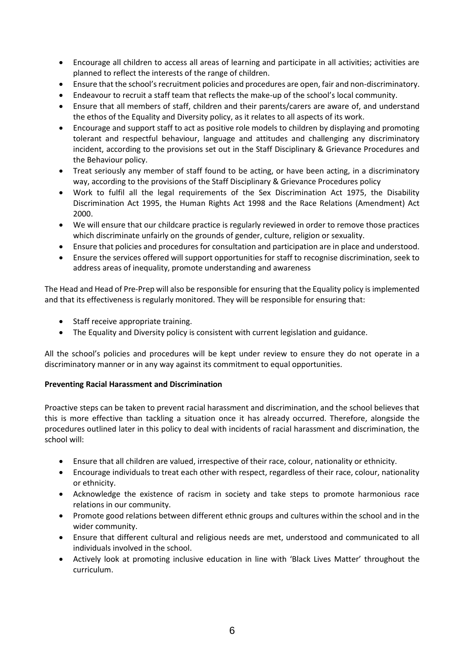- Encourage all children to access all areas of learning and participate in all activities; activities are planned to reflect the interests of the range of children.
- Ensure that the school's recruitment policies and procedures are open, fair and non-discriminatory.
- Endeavour to recruit a staff team that reflects the make-up of the school's local community.
- Ensure that all members of staff, children and their parents/carers are aware of, and understand the ethos of the Equality and Diversity policy, as it relates to all aspects of its work.
- Encourage and support staff to act as positive role models to children by displaying and promoting tolerant and respectful behaviour, language and attitudes and challenging any discriminatory incident, according to the provisions set out in the Staff Disciplinary & Grievance Procedures and the Behaviour policy.
- Treat seriously any member of staff found to be acting, or have been acting, in a discriminatory way, according to the provisions of the Staff Disciplinary & Grievance Procedures policy
- Work to fulfil all the legal requirements of the Sex Discrimination Act 1975, the Disability Discrimination Act 1995, the Human Rights Act 1998 and the Race Relations (Amendment) Act 2000.
- We will ensure that our childcare practice is regularly reviewed in order to remove those practices which discriminate unfairly on the grounds of gender, culture, religion or sexuality.
- Ensure that policies and procedures for consultation and participation are in place and understood.
- Ensure the services offered will support opportunities for staff to recognise discrimination, seek to address areas of inequality, promote understanding and awareness

The Head and Head of Pre-Prep will also be responsible for ensuring that the Equality policy is implemented and that its effectiveness is regularly monitored. They will be responsible for ensuring that:

- Staff receive appropriate training.
- The Equality and Diversity policy is consistent with current legislation and guidance.

All the school's policies and procedures will be kept under review to ensure they do not operate in a discriminatory manner or in any way against its commitment to equal opportunities.

# **Preventing Racial Harassment and Discrimination**

Proactive steps can be taken to prevent racial harassment and discrimination, and the school believes that this is more effective than tackling a situation once it has already occurred. Therefore, alongside the procedures outlined later in this policy to deal with incidents of racial harassment and discrimination, the school will:

- Ensure that all children are valued, irrespective of their race, colour, nationality or ethnicity.
- Encourage individuals to treat each other with respect, regardless of their race, colour, nationality or ethnicity.
- Acknowledge the existence of racism in society and take steps to promote harmonious race relations in our community.
- Promote good relations between different ethnic groups and cultures within the school and in the wider community.
- Ensure that different cultural and religious needs are met, understood and communicated to all individuals involved in the school.
- Actively look at promoting inclusive education in line with 'Black Lives Matter' throughout the curriculum.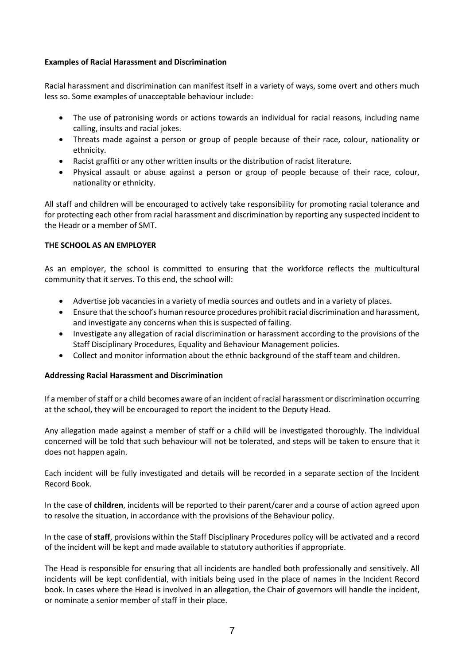## **Examples of Racial Harassment and Discrimination**

Racial harassment and discrimination can manifest itself in a variety of ways, some overt and others much less so. Some examples of unacceptable behaviour include:

- The use of patronising words or actions towards an individual for racial reasons, including name calling, insults and racial jokes.
- Threats made against a person or group of people because of their race, colour, nationality or ethnicity.
- Racist graffiti or any other written insults or the distribution of racist literature.
- Physical assault or abuse against a person or group of people because of their race, colour, nationality or ethnicity.

All staff and children will be encouraged to actively take responsibility for promoting racial tolerance and for protecting each other from racial harassment and discrimination by reporting any suspected incident to the Headr or a member of SMT.

## **THE SCHOOL AS AN EMPLOYER**

As an employer, the school is committed to ensuring that the workforce reflects the multicultural community that it serves. To this end, the school will:

- Advertise job vacancies in a variety of media sources and outlets and in a variety of places.
- Ensure that the school's human resource procedures prohibit racial discrimination and harassment, and investigate any concerns when this is suspected of failing.
- Investigate any allegation of racial discrimination or harassment according to the provisions of the Staff Disciplinary Procedures, Equality and Behaviour Management policies.
- Collect and monitor information about the ethnic background of the staff team and children.

# **Addressing Racial Harassment and Discrimination**

If a member of staff or a child becomes aware of an incident of racial harassment or discrimination occurring at the school, they will be encouraged to report the incident to the Deputy Head.

Any allegation made against a member of staff or a child will be investigated thoroughly. The individual concerned will be told that such behaviour will not be tolerated, and steps will be taken to ensure that it does not happen again.

Each incident will be fully investigated and details will be recorded in a separate section of the Incident Record Book.

In the case of **children**, incidents will be reported to their parent/carer and a course of action agreed upon to resolve the situation, in accordance with the provisions of the Behaviour policy.

In the case of **staff**, provisions within the Staff Disciplinary Procedures policy will be activated and a record of the incident will be kept and made available to statutory authorities if appropriate.

The Head is responsible for ensuring that all incidents are handled both professionally and sensitively. All incidents will be kept confidential, with initials being used in the place of names in the Incident Record book. In cases where the Head is involved in an allegation, the Chair of governors will handle the incident, or nominate a senior member of staff in their place.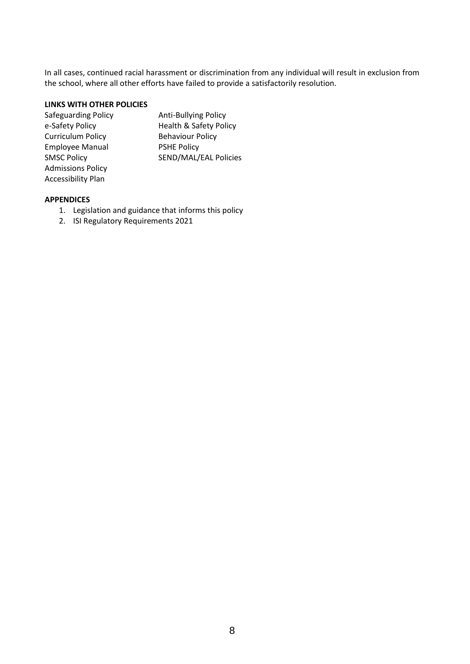In all cases, continued racial harassment or discrimination from any individual will result in exclusion from the school, where all other efforts have failed to provide a satisfactorily resolution.

## **LINKS WITH OTHER POLICIES**

| <b>Safeguarding Policy</b> | <b>Anti-Bullying Policy</b>       |
|----------------------------|-----------------------------------|
| e-Safety Policy            | <b>Health &amp; Safety Policy</b> |
| <b>Curriculum Policy</b>   | <b>Behaviour Policy</b>           |
| <b>Employee Manual</b>     | <b>PSHE Policy</b>                |
| <b>SMSC Policy</b>         | SEND/MAL/EAL Policies             |
| <b>Admissions Policy</b>   |                                   |
| <b>Accessibility Plan</b>  |                                   |

#### **APPENDICES**

- 1. Legislation and guidance that informs this policy
- 2. ISI Regulatory Requirements 2021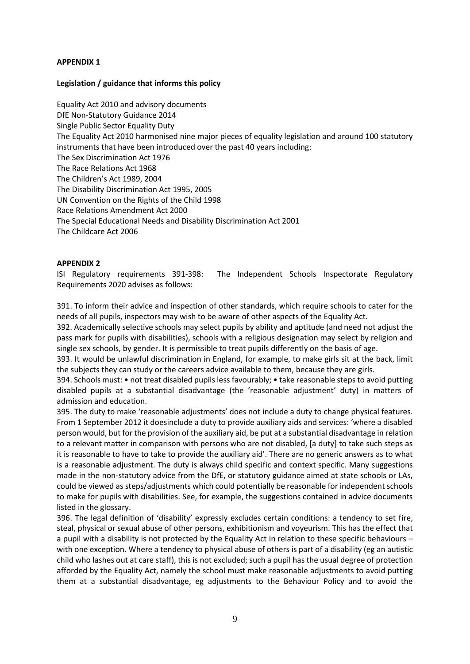#### **APPENDIX 1**

### **Legislation / guidance that informs this policy**

Equality Act 2010 and advisory documents DfE Non-Statutory Guidance 2014 Single Public Sector Equality Duty The Equality Act 2010 harmonised nine major pieces of equality legislation and around 100 statutory instruments that have been introduced over the past 40 years including: The Sex Discrimination Act 1976 The Race Relations Act 1968 The Children's Act 1989, 2004 The Disability Discrimination Act 1995, 2005 UN Convention on the Rights of the Child 1998 Race Relations Amendment Act 2000 The Special Educational Needs and Disability Discrimination Act 2001 The Childcare Act 2006

## **APPENDIX 2**

ISI Regulatory requirements 391-398: The Independent Schools Inspectorate Regulatory Requirements 2020 advises as follows:

391. To inform their advice and inspection of other standards, which require schools to cater for the needs of all pupils, inspectors may wish to be aware of other aspects of the Equality Act.

392. Academically selective schools may select pupils by ability and aptitude (and need not adjust the pass mark for pupils with disabilities), schools with a religious designation may select by religion and single sex schools, by gender. It is permissible to treat pupils differently on the basis of age.

393. It would be unlawful discrimination in England, for example, to make girls sit at the back, limit the subjects they can study or the careers advice available to them, because they are girls.

394. Schools must: • not treat disabled pupils less favourably; • take reasonable steps to avoid putting disabled pupils at a substantial disadvantage (the 'reasonable adjustment' duty) in matters of admission and education.

395. The duty to make 'reasonable adjustments' does not include a duty to change physical features. From 1 September 2012 it doesinclude a duty to provide auxiliary aids and services: 'where a disabled person would, but for the provision of the auxiliary aid, be put at a substantial disadvantage in relation to a relevant matter in comparison with persons who are not disabled, [a duty] to take such steps as it is reasonable to have to take to provide the auxiliary aid'. There are no generic answers as to what is a reasonable adjustment. The duty is always child specific and context specific. Many suggestions made in the non-statutory advice from the DfE, or statutory guidance aimed at state schools or LAs, could be viewed as steps/adjustments which could potentially be reasonable for independent schools to make for pupils with disabilities. See, for example, the suggestions contained in advice documents listed in the glossary.

396. The legal definition of 'disability' expressly excludes certain conditions: a tendency to set fire, steal, physical or sexual abuse of other persons, exhibitionism and voyeurism. This has the effect that a pupil with a disability is not protected by the Equality Act in relation to these specific behaviours – with one exception. Where a tendency to physical abuse of others is part of a disability (eg an autistic child who lashes out at care staff), this is not excluded; such a pupil has the usual degree of protection afforded by the Equality Act, namely the school must make reasonable adjustments to avoid putting them at a substantial disadvantage, eg adjustments to the Behaviour Policy and to avoid the